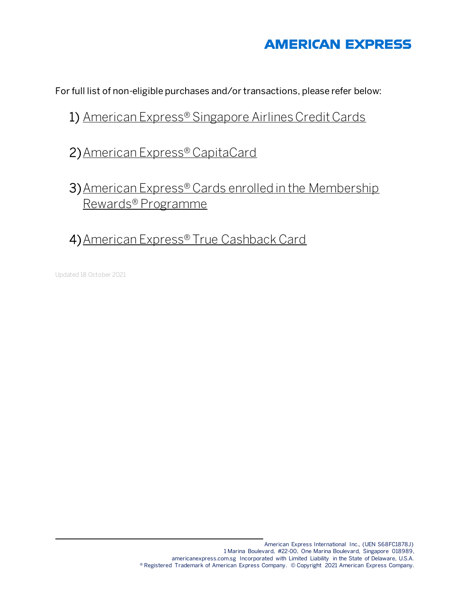## **AMERICAN EXPRESS**

For full list of non-eligible purchases and/or transactions, please refer below:

### 1) American Express® Singapore Airlines Credit Cards

## 2)American Express® CapitaCard

# 3)American Express® Cards enrolled in the Membership Rewards® Programme

# 4)American Express® True Cashback Card

Updated 18 October 2021

l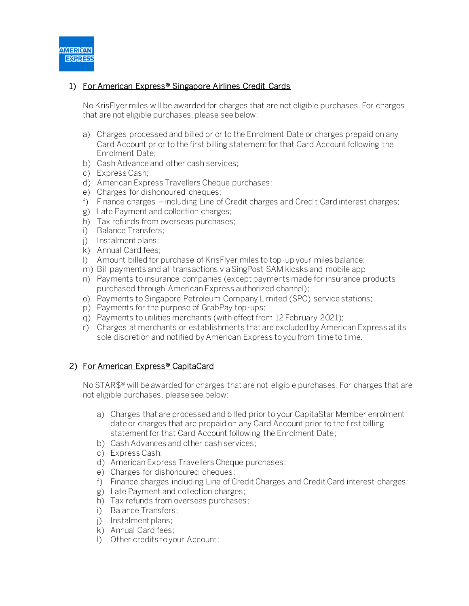

### 1) For American Express<sup>®</sup> Singapore Airlines Credit Cards

No KrisFlyer miles will be awarded for charges that are not eligible purchases. For charges that are not eligible purchases, please see below:

- a) Charges processed and billed prior to the Enrolment Date or charges prepaid on any Card Account prior to the first billing statement for that Card Account following the Enrolment Date;
- b) Cash Advance and other cash services;
- c) Express Cash;
- d) American Express Travellers Cheque purchases;
- e) Charges for dishonoured cheques;
- f) Finance charges including Line of Credit charges and Credit Card interest charges;
- g) Late Payment and collection charges;
- h) Tax refunds from overseas purchases;
- i) Balance Transfers;
- j) Instalment plans;
- k) Annual Card fees;
- l) Amount billed for purchase of KrisFlyer miles to top-up your miles balance;
- m) Bill payments and all transactions via SingPost SAM kiosks and mobile app
- n) Payments to insurance companies (except payments made for insurance products purchased through American Express authorized channel);
- o) Payments to Singapore Petroleum Company Limited (SPC) service stations;
- p) Payments for the purpose of GrabPay top-ups;
- q) Payments to utilities merchants (with effect from 12 February 2021);
- r) Charges at merchants or establishments that are excluded by American Express at its sole discretion and notified by American Express to you from time to time.

#### 2) For American Express® CapitaCard

No STAR\$<sup>®</sup> will be awarded for charges that are not eligible purchases. For charges that are not eligible purchases, please see below:

- a) Charges that are processed and billed prior to your CapitaStar Member enrolment date or charges that are prepaid on any Card Account prior to the first billing statement for that Card Account following the Enrolment Date;
- b) Cash Advances and other cash services;
- c) Express Cash;
- d) American Express Travellers Cheque purchases;
- e) Charges for dishonoured cheques;
- f) Finance charges including Line of Credit Charges and Credit Card interest charges;
- g) Late Payment and collection charges;
- h) Tax refunds from overseas purchases;
- i) Balance Transfers;
- j) Instalment plans;
- k) Annual Card fees;
- l) Other credits to your Account;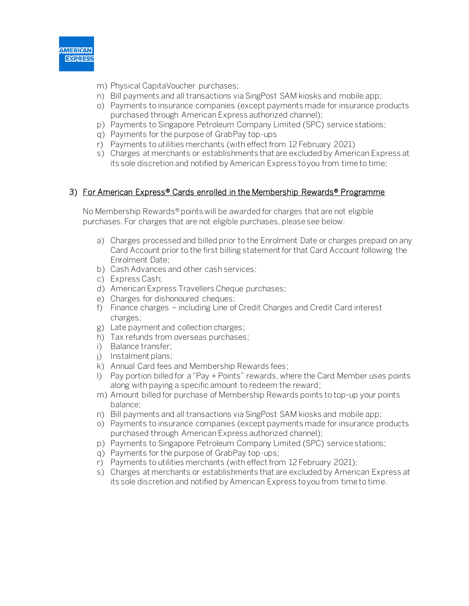

- m) Physical CapitaVoucher purchases;
- n) Bill payments and all transactions via SingPost SAM kiosks and mobile app;
- o) Payments to insurance companies (except payments made for insurance products purchased through American Express authorized channel);
- p) Payments to Singapore Petroleum Company Limited (SPC) service stations;
- q) Payments for the purpose of GrabPay top-ups
- r) Payments to utilities merchants (with effect from 12 February 2021)
- s) Charges at merchants or establishments that are excluded by American Express at its sole discretion and notified by American Express to you from time to time;

#### 3) For American Express® Cards enrolled in the Membership Rewards® Programme

No Membership Rewards® points will be awarded for charges that are not eligible purchases. For charges that are not eligible purchases, please see below:

- a) Charges processed and billed prior to the Enrolment Date or charges prepaid on any Card Account prior to the first billing statement for that Card Account following the Enrolment Date;
- b) Cash Advances and other cash services;
- c) Express Cash;
- d) American Express Travellers Cheque purchases;
- e) Charges for dishonoured cheques;
- f) Finance charges including Line of Credit Charges and Credit Card interest charges;
- g) Late payment and collection charges;
- h) Tax refunds from overseas purchases;
- i) Balance transfer;
- j) Instalment plans;
- k) Annual Card fees and Membership Rewards fees;
- l) Pay portion billed for a "Pay + Points" rewards, where the Card Member uses points along with paying a specific amount to redeem the reward;
- m) Amount billed for purchase of Membership Rewards points to top-up your points balance;
- n) Bill payments and all transactions via SingPost SAM kiosks and mobile app;
- o) Payments to insurance companies (except payments made for insurance products purchased through American Express authorized channel);
- p) Payments to Singapore Petroleum Company Limited (SPC) service stations;
- q) Payments for the purpose of GrabPay top-ups;
- r) Payments to utilities merchants (with effect from 12 February 2021);
- s) Charges at merchants or establishments that are excluded by American Express at its sole discretion and notified by American Express to you from time to time.